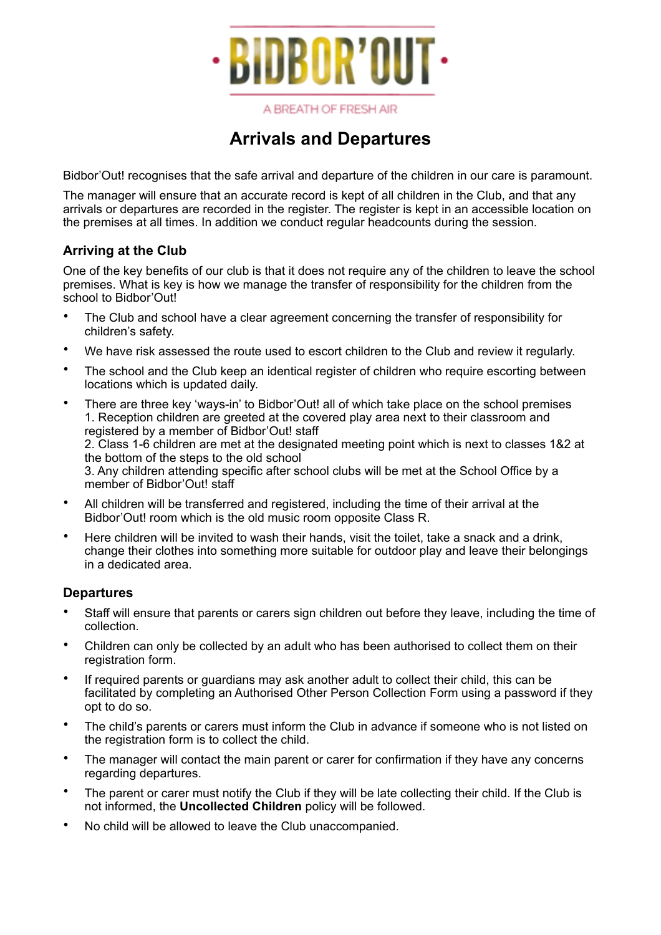

#### A BREATH OF FRESH AIR

# **Arrivals and Departures**

Bidbor'Out! recognises that the safe arrival and departure of the children in our care is paramount.

The manager will ensure that an accurate record is kept of all children in the Club, and that any arrivals or departures are recorded in the register. The register is kept in an accessible location on the premises at all times. In addition we conduct regular headcounts during the session.

### **Arriving at the Club**

One of the key benefits of our club is that it does not require any of the children to leave the school premises. What is key is how we manage the transfer of responsibility for the children from the school to Bidbor'Out!

- The Club and school have a clear agreement concerning the transfer of responsibility for children's safety.
- We have risk assessed the route used to escort children to the Club and review it regularly.
- The school and the Club keep an identical register of children who require escorting between locations which is updated daily.
- There are three key 'ways-in' to Bidbor'Out! all of which take place on the school premises 1. Reception children are greeted at the covered play area next to their classroom and registered by a member of Bidbor'Out! staff 2. Class 1-6 children are met at the designated meeting point which is next to classes 1&2 at the bottom of the steps to the old school 3. Any children attending specific after school clubs will be met at the School Office by a member of Bidbor'Out! staff
- All children will be transferred and registered, including the time of their arrival at the Bidbor'Out! room which is the old music room opposite Class R.
- Here children will be invited to wash their hands, visit the toilet, take a snack and a drink, change their clothes into something more suitable for outdoor play and leave their belongings in a dedicated area.

### **Departures**

- Staff will ensure that parents or carers sign children out before they leave, including the time of collection.
- Children can only be collected by an adult who has been authorised to collect them on their registration form.
- If required parents or guardians may ask another adult to collect their child, this can be facilitated by completing an Authorised Other Person Collection Form using a password if they opt to do so.
- The child's parents or carers must inform the Club in advance if someone who is not listed on the registration form is to collect the child.
- The manager will contact the main parent or carer for confirmation if they have any concerns regarding departures.
- The parent or carer must notify the Club if they will be late collecting their child. If the Club is not informed, the **Uncollected Children** policy will be followed.
- No child will be allowed to leave the Club unaccompanied.